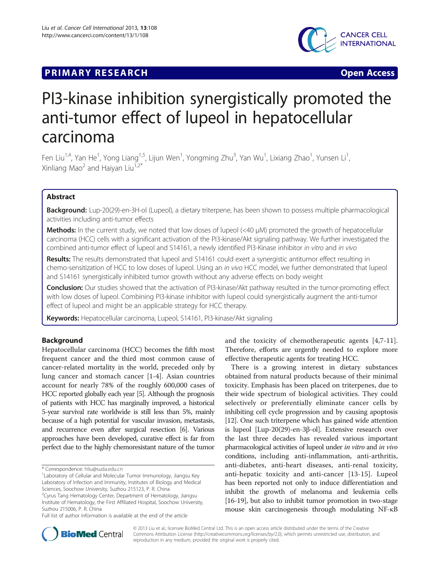## **PRIMARY RESEARCH CONSTRUCTION CONSTRUCTS**



# PI3-kinase inhibition synergistically promoted the anti-tumor effect of lupeol in hepatocellular carcinoma

Fen Liu<sup>1,4</sup>, Yan He<sup>1</sup>, Yong Liang<sup>1,5</sup>, Lijun Wen<sup>1</sup>, Yongming Zhu<sup>3</sup>, Yan Wu<sup>1</sup>, Lixiang Zhao<sup>1</sup>, Yunsen Li<sup>1</sup> , Xinliang Mao<sup>2</sup> and Haiyan Liu<sup>1,2\*</sup>

## Abstract

Background: Lup-20(29)-en-3H-ol (Lupeol), a dietary triterpene, has been shown to possess multiple pharmacological activities including anti-tumor effects

Methods: In the current study, we noted that low doses of lupeol (<40 μM) promoted the growth of hepatocellular carcinoma (HCC) cells with a significant activation of the PI3-kinase/Akt signaling pathway. We further investigated the combined anti-tumor effect of lupeol and S14161, a newly identified PI3-Kinase inhibitor in vitro and in vivo

Results: The results demonstrated that lupeol and S14161 could exert a synergistic antitumor effect resulting in chemo-sensitization of HCC to low doses of lupeol. Using an in vivo HCC model, we further demonstrated that lupeol and S14161 synergistically inhibited tumor growth without any adverse effects on body weight

Conclusion: Our studies showed that the activation of PI3-kinase/Akt pathway resulted in the tumor-promoting effect with low doses of lupeol. Combining PI3-kinase inhibitor with lupeol could synergistically augment the anti-tumor effect of lupeol and might be an applicable strategy for HCC therapy.

Keywords: Hepatocellular carcinoma, Lupeol, S14161, PI3-kinase/Akt signaling

## Background

Hepatocellular carcinoma (HCC) becomes the fifth most frequent cancer and the third most common cause of cancer-related mortality in the world, preceded only by lung cancer and stomach cancer [\[1](#page-6-0)-[4\]](#page-6-0). Asian countries account for nearly 78% of the roughly 600,000 cases of HCC reported globally each year [\[5](#page-6-0)]. Although the prognosis of patients with HCC has marginally improved, a historical 5-year survival rate worldwide is still less than 5%, mainly because of a high potential for vascular invasion, metastasis, and recurrence even after surgical resection [\[6\]](#page-6-0). Various approaches have been developed, curative effect is far from perfect due to the highly chemoresistant nature of the tumor

<sup>2</sup>Cyrus Tang Hematology Center, Department of Hematology, Jiangsu Institute of Hematology, the First Affiliated Hospital, Soochow University, Suzhou 215006, P. R. China

and the toxicity of chemotherapeutic agents [\[4,7-11](#page-6-0)]. Therefore, efforts are urgently needed to explore more effective therapeutic agents for treating HCC.

There is a growing interest in dietary substances obtained from natural products because of their minimal toxicity. Emphasis has been placed on triterpenes, due to their wide spectrum of biological activities. They could selectively or preferentially eliminate cancer cells by inhibiting cell cycle progression and by causing apoptosis [[12](#page-6-0)]. One such triterpene which has gained wide attention is lupeol [Lup-20(29)-en-3β-ol]. Extensive research over the last three decades has revealed various important pharmacological activities of lupeol under in vitro and in vivo conditions, including anti-inflammation, anti-arthritis, anti-diabetes, anti-heart diseases, anti-renal toxicity, anti-hepatic toxicity and anti-cancer [[13-15](#page-6-0)]. Lupeol has been reported not only to induce differentiation and inhibit the growth of melanoma and leukemia cells [[16](#page-6-0)-[19\]](#page-6-0), but also to inhibit tumor promotion in two-stage mouse skin carcinogenesis through modulating NF-κB



© 2013 Liu et al.; licensee BioMed Central Ltd. This is an open access article distributed under the terms of the Creative Commons Attribution License [\(http://creativecommons.org/licenses/by/2.0\)](http://creativecommons.org/licenses/by/2.0), which permits unrestricted use, distribution, and reproduction in any medium, provided the original work is properly cited.

<sup>\*</sup> Correspondence: [hliu@suda.edu.cn](mailto:hliu@suda.edu.cn) <sup>1</sup>

Laboratory of Cellular and Molecular Tumor Immunology, Jiangsu Key Laboratory of Infection and Immunity, Institutes of Biology and Medical Sciences, Soochow University, Suzhou 215123, P. R. China

Full list of author information is available at the end of the article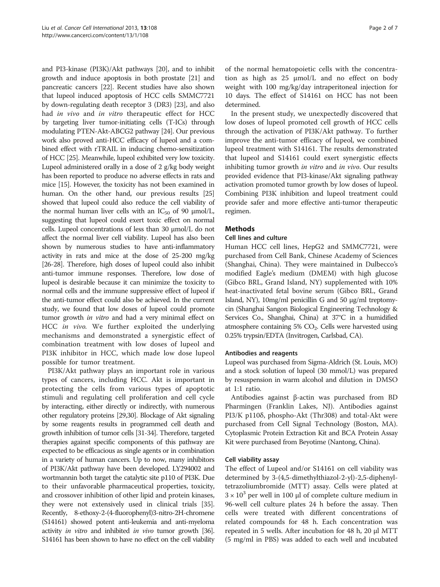and PI3-kinase (PI3K)/Akt pathways [\[20\]](#page-6-0), and to inhibit growth and induce apoptosis in both prostate [\[21\]](#page-6-0) and pancreatic cancers [\[22\]](#page-6-0). Recent studies have also shown that lupeol induced apoptosis of HCC cells SMMC7721 by down-regulating death receptor 3 (DR3) [[23](#page-6-0)], and also had in vivo and in vitro therapeutic effect for HCC by targeting liver tumor-initiating cells (T-ICs) through modulating PTEN-Akt-ABCG2 pathway [\[24\]](#page-6-0). Our previous work also proved anti-HCC efficacy of lupeol and a combined effect with rTRAIL in inducing chemo-sensitization of HCC [\[25\]](#page-6-0). Meanwhile, lupeol exhibited very low toxicity. Lupeol administered orally in a dose of 2 g/kg body weight has been reported to produce no adverse effects in rats and mice [[15](#page-6-0)]. However, the toxicity has not been examined in human. On the other hand, our previous results [\[25](#page-6-0)] showed that lupeol could also reduce the cell viability of the normal human liver cells with an  $IC_{50}$  of 90  $\mu$ mol/L, suggesting that lupeol could exert toxic effect on normal cells. Lupeol concentrations of less than 30 μmol/L do not affect the normal liver cell viability. Lupeol has also been shown by numerous studies to have anti-inflammatory activity in rats and mice at the dose of 25-200 mg/kg [[26](#page-6-0)-[28\]](#page-6-0). Therefore, high doses of lupeol could also inhibit anti-tumor immune responses. Therefore, low dose of lupeol is desirable because it can minimize the toxicity to normal cells and the immune suppressive effect of lupeol if the anti-tumor effect could also be achieved. In the current study, we found that low doses of lupeol could promote tumor growth *in vitro* and had a very minimal effect on HCC in vivo. We further exploited the underlying mechanisms and demonstrated a synergistic effect of combination treatment with low doses of lupeol and PI3K inhibitor in HCC, which made low dose lupeol possible for tumor treatment.

PI3K/Akt pathway plays an important role in various types of cancers, including HCC. Akt is important in protecting the cells from various types of apoptotic stimuli and regulating cell proliferation and cell cycle by interacting, either directly or indirectly, with numerous other regulatory proteins [\[29,30\]](#page-6-0). Blockage of Akt signaling by some reagents results in programmed cell death and growth inhibition of tumor cells [[31-34\]](#page-6-0). Therefore, targeted therapies against specific components of this pathway are expected to be efficacious as single agents or in combination in a variety of human cancers. Up to now, many inhibitors of PI3K/Akt pathway have been developed. LY294002 and wortmannin both target the catalytic site p110 of PI3K. Due to their unfavorable pharmaceutical properties, toxicity, and crossover inhibition of other lipid and protein kinases, they were not extensively used in clinical trials [[35](#page-6-0)]. Recently, 8-ethoxy-2-(4-fluorophenyl)3-nitro-2H-chromene (S14161) showed potent anti-leukemia and anti-myeloma activity *in vitro* and inhibited *in vivo* tumor growth [\[36\]](#page-6-0). S14161 has been shown to have no effect on the cell viability of the normal hematopoietic cells with the concentration as high as 25 μmol/L and no effect on body weight with 100 mg/kg/day intraperitoneal injection for 10 days. The effect of S14161 on HCC has not been determined.

In the present study, we unexpectedly discovered that low doses of lupeol promoted cell growth of HCC cells through the activation of PI3K/Akt pathway. To further improve the anti-tumor efficacy of lupeol, we combined lupeol treatment with S14161. The results demonstrated that lupeol and S14161 could exert synergistic effects inhibiting tumor growth in vitro and in vivo. Our results provided evidence that PI3-kinase/Akt signaling pathway activation promoted tumor growth by low doses of lupeol. Combining PI3K inhibition and lupeol treatment could provide safer and more effective anti-tumor therapeutic regimen.

## **Methods**

#### Cell lines and culture

Human HCC cell lines, HepG2 and SMMC7721, were purchased from Cell Bank, Chinese Academy of Sciences (Shanghai, China). They were maintained in Dulbecco's modified Eagle's medium (DMEM) with high glucose (Gibco BRL, Grand Island, NY) supplemented with 10% heat-inactivated fetal bovine serum (Gibco BRL, Grand Island, NY), 10mg/ml penicillin G and 50 μg/ml treptomycin (Shanghai Sangon Biological Engineering Technology & Services Co., Shanghai, China) at 37°C in a humidified atmosphere containing  $5\%$  CO<sub>2</sub>. Cells were harvested using 0.25% trypsin/EDTA (Invitrogen, Carlsbad, CA).

### Antibodies and reagents

Lupeol was purchased from Sigma-Aldrich (St. Louis, MO) and a stock solution of lupeol (30 mmol/L) was prepared by resuspension in warm alcohol and dilution in DMSO at 1:1 ratio.

Antibodies against β-actin was purchased from BD Pharmingen (Franklin Lakes, NJ). Antibodies against PI3/K p110δ, phospho-Akt (Thr308) and total-Akt were purchased from Cell Signal Technology (Boston, MA). Cytoplasmic Protein Extraction Kit and BCA Protein Assay Kit were purchased from Beyotime (Nantong, China).

### Cell viability assay

The effect of Lupeol and/or S14161 on cell viability was determined by 3-(4,5-dimethylthiazol-2-yl)-2,5-diphenyltetrazoliumbromide (MTT) assay. Cells were plated at  $3 \times 10^3$  per well in 100 µl of complete culture medium in 96-well cell culture plates 24 h before the assay. Then cells were treated with different concentrations of related compounds for 48 h. Each concentration was repeated in 5 wells. After incubation for 48 h, 20 μl MTT (5 mg/ml in PBS) was added to each well and incubated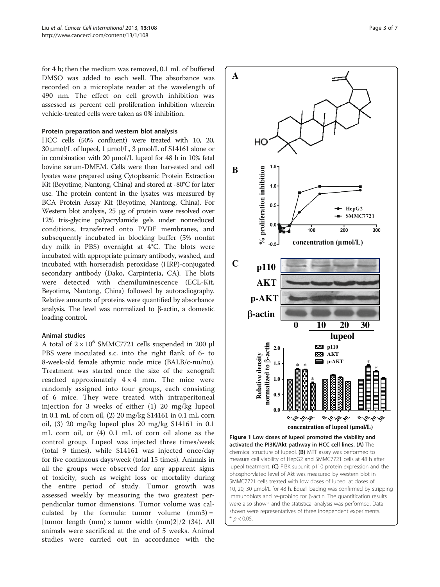<span id="page-2-0"></span>for 4 h; then the medium was removed, 0.1 mL of buffered DMSO was added to each well. The absorbance was recorded on a microplate reader at the wavelength of 490 nm. The effect on cell growth inhibition was assessed as percent cell proliferation inhibition wherein vehicle-treated cells were taken as 0% inhibition.

## Protein preparation and western blot analysis

HCC cells (50% confluent) were treated with 10, 20, 30 μmol/L of lupeol, 1 μmol/L, 3 μmol/L of S14161 alone or in combination with 20 μmol/L lupeol for 48 h in 10% fetal bovine serum-DMEM. Cells were then harvested and cell lysates were prepared using Cytoplasmic Protein Extraction Kit (Beyotime, Nantong, China) and stored at -80°C for later use. The protein content in the lysates was measured by BCA Protein Assay Kit (Beyotime, Nantong, China). For Western blot analysis, 25 μg of protein were resolved over 12% tris-glycine polyacrylamide gels under nonreduced conditions, transferred onto PVDF membranes, and subsequently incubated in blocking buffer (5% nonfat dry milk in PBS) overnight at 4°C. The blots were incubated with appropriate primary antibody, washed, and incubated with horseradish peroxidase (HRP)-conjugated secondary antibody (Dako, Carpinteria, CA). The blots were detected with chemiluminescence (ECL-Kit, Beyotime, Nantong, China) followed by autoradiography. Relative amounts of proteins were quantified by absorbance analysis. The level was normalized to β-actin, a domestic loading control.

### Animal studies

A total of  $2 \times 10^6$  SMMC7721 cells suspended in 200 µl PBS were inoculated s.c. into the right flank of 6- to 8-week-old female athymic nude mice (BALB/c-nu/nu). Treatment was started once the size of the xenograft reached approximately  $4 \times 4$  mm. The mice were randomly assigned into four groups, each consisting of 6 mice. They were treated with intraperitoneal injection for 3 weeks of either (1) 20 mg/kg lupeol in 0.1 mL of corn oil, (2) 20 mg/kg S14161 in 0.1 mL corn oil, (3) 20 mg/kg lupeol plus 20 mg/kg S14161 in 0.1 mL corn oil, or (4) 0.1 mL of corn oil alone as the control group. Lupeol was injected three times/week (total 9 times), while S14161 was injected once/day for five continuous days/week (total 15 times). Animals in all the groups were observed for any apparent signs of toxicity, such as weight loss or mortality during the entire period of study. Tumor growth was assessed weekly by measuring the two greatest perpendicular tumor dimensions. Tumor volume was calculated by the formula: tumor volume (mm3) = [tumor length (mm)  $\times$  tumor width (mm)2]/2 (34). All animals were sacrificed at the end of 5 weeks. Animal studies were carried out in accordance with the



 $*$   $p < 0.05$ .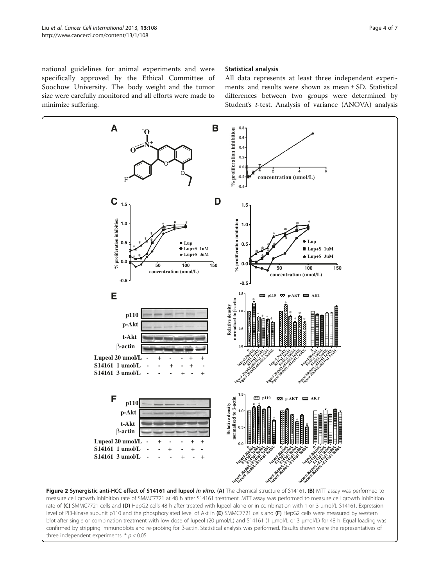<span id="page-3-0"></span>national guidelines for animal experiments and were specifically approved by the Ethical Committee of Soochow University. The body weight and the tumor size were carefully monitored and all efforts were made to minimize suffering.

## Statistical analysis

All data represents at least three independent experiments and results were shown as mean ± SD. Statistical differences between two groups were determined by Student's t-test. Analysis of variance (ANOVA) analysis



level of PI3-kinase subunit p110 and the phosphorylated level of Akt in (E) SMMC7721 cells and (F) HepG2 cells were measured by western blot after single or combination treatment with low dose of lupeol (20 μmol/L) and S14161 (1 μmol/L or 3 μmol/L) for 48 h. Equal loading was confirmed by stripping immunoblots and re-probing for β-actin. Statistical analysis was performed. Results shown were the representatives of three independent experiments.  $*$   $p$  < 0.05.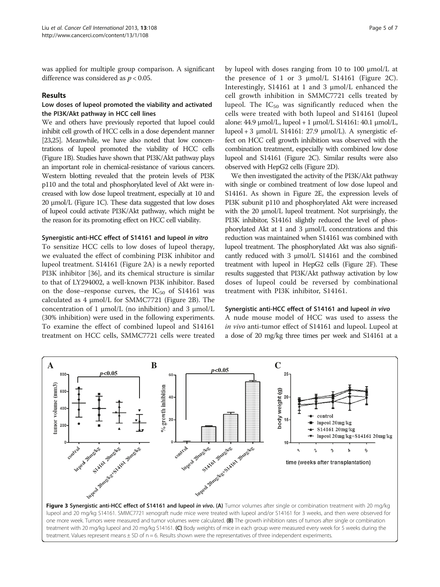<span id="page-4-0"></span>was applied for multiple group comparison. A significant difference was considered as  $p < 0.05$ .

## Results

## Low doses of lupeol promoted the viability and activated the PI3K/Akt pathway in HCC cell lines

We and others have previously reported that lupoel could inhibit cell growth of HCC cells in a dose dependent manner [[23,25\]](#page-6-0). Meanwhile, we have also noted that low concentrations of lupeol promoted the viability of HCC cells (Figure [1B](#page-2-0)). Studies have shown that PI3K/Akt pathway plays an important role in chemical-resistance of various cancers. Western blotting revealed that the protein levels of PI3K p110 and the total and phosphorylated level of Akt were increased with low dose lupeol treatment, especially at 10 and 20 μmol/L (Figure [1](#page-2-0)C). These data suggested that low doses of lupeol could activate PI3K/Akt pathway, which might be the reason for its promoting effect on HCC cell viability.

## Synergistic anti-HCC effect of S14161 and lupeol in vitro

To sensitize HCC cells to low doses of lupeol therapy, we evaluated the effect of combining PI3K inhibitor and lupeol treatment. S14161 (Figure [2](#page-3-0)A) is a newly reported PI3K inhibitor [[36](#page-6-0)], and its chemical structure is similar to that of LY294002, a well-known PI3K inhibitor. Based on the dose–response curves, the  $IC_{50}$  of S14161 was calculated as 4 μmol/L for SMMC7721 (Figure [2B](#page-3-0)). The concentration of 1 μmol/L (no inhibition) and 3 μmol/L (30% inhibition) were used in the following experiments. To examine the effect of combined lupeol and S14161 treatment on HCC cells, SMMC7721 cells were treated

by lupeol with doses ranging from 10 to 100 μmol/L at the presence of 1 or 3 μmol/L S14161 (Figure [2](#page-3-0)C). Interestingly, S14161 at 1 and 3 μmol/L enhanced the cell growth inhibition in SMMC7721 cells treated by lupeol. The  $IC_{50}$  was significantly reduced when the cells were treated with both lupeol and S14161 (lupeol alone:  $44.9 \mu$ mol/L, lupeol + 1  $\mu$ mol/L S14161:  $40.1 \mu$ mol/L, lupeol + 3 μmol/L S14161: 27.9 μmol/L). A synergistic effect on HCC cell growth inhibition was observed with the combination treatment, especially with combined low dose lupeol and S14161 (Figure [2](#page-3-0)C). Similar results were also observed with HepG2 cells (Figure [2](#page-3-0)D).

We then investigated the activity of the PI3K/Akt pathway with single or combined treatment of low dose lupeol and S14161. As shown in Figure [2E](#page-3-0), the expression levels of PI3K subunit p110 and phosphorylated Akt were increased with the 20 μmol/L lupeol treatment. Not surprisingly, the PI3K inhibitor, S14161 slightly reduced the level of phosphorylated Akt at 1 and 3 μmol/L concentrations and this reduction was maintained when S14161 was combined with lupeol treatment. The phosphorylated Akt was also significantly reduced with 3 μmol/L S14161 and the combined treatment with lupeol in HepG2 cells (Figure [2F](#page-3-0)). These results suggested that PI3K/Akt pathway activation by low doses of lupeol could be reversed by combinational treatment with PI3K inhibitor, S14161.

## Synergistic anti-HCC effect of S14161 and lupeol in vivo

A nude mouse model of HCC was used to assess the in vivo anti-tumor effect of S14161 and lupeol. Lupeol at a dose of 20 mg/kg three times per week and S14161 at a



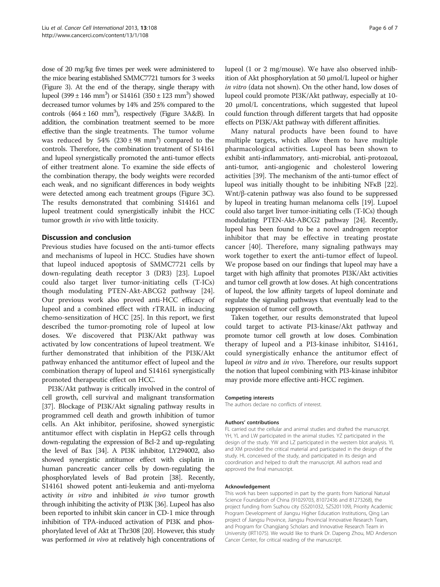dose of 20 mg/kg five times per week were administered to the mice bearing established SMMC7721 tumors for 3 weeks (Figure [3\)](#page-4-0). At the end of the therapy, single therapy with lupeol  $(399 \pm 146 \text{ mm}^3)$  or  $S14161 (350 \pm 123 \text{ mm}^3)$  showed decreased tumor volumes by 14% and 25% compared to the controls  $(464 \pm 160 \text{ mm}^3)$ , respectively (Figure [3](#page-4-0)A&B). In addition, the combination treatment seemed to be more effective than the single treatments. The tumor volume was reduced by  $54\%$   $(230 \pm 98 \text{ mm}^3)$  compared to the controls. Therefore, the combination treatment of S14161 and lupeol synergistically promoted the anti-tumor effects of either treatment alone. To examine the side effects of the combination therapy, the body weights were recorded each weak, and no significant differences in body weights were detected among each treatment groups (Figure [3C](#page-4-0)). The results demonstrated that combining S14161 and lupeol treatment could synergistically inhibit the HCC tumor growth *in vivo* with little toxicity.

## Discussion and conclusion

Previous studies have focused on the anti-tumor effects and mechanisms of lupeol in HCC. Studies have shown that lupeol induced apoptosis of SMMC7721 cells by down-regulating death receptor 3 (DR3) [[23](#page-6-0)]. Lupoel could also target liver tumor-initiating cells (T-ICs) though modulating PTEN-Akt-ABCG2 pathway [\[24](#page-6-0)]. Our previous work also proved anti-HCC efficacy of lupeol and a combined effect with rTRAIL in inducing chemo-sensitization of HCC [\[25](#page-6-0)]. In this report, we first described the tumor-promoting role of lupeol at low doses. We discovered that PI3K/Akt pathway was activated by low concentrations of lupeol treatment. We further demonstrated that inhibition of the PI3K/Akt pathway enhanced the antitumor effect of lupeol and the combination therapy of lupeol and S14161 synergistically promoted therapeutic effect on HCC.

PI3K/Akt pathway is critically involved in the control of cell growth, cell survival and malignant transformation [[37](#page-6-0)]. Blockage of PI3K/Akt signaling pathway results in programmed cell death and growth inhibition of tumor cells. An Akt inhibitor, perifosine, showed synergistic antitumor effect with cisplatin in HepG2 cells through down-regulating the expression of Bcl-2 and up-regulating the level of Bax [\[34\]](#page-6-0). A PI3K inhibitor, LY294002, also showed synergistic antitumor effect with cisplatin in human pancreatic cancer cells by down-regulating the phosphorylated levels of Bad protein [\[38\]](#page-6-0). Recently, S14161 showed potent anti-leukemia and anti-myeloma activity in vitro and inhibited in vivo tumor growth through inhibiting the activity of PI3K [\[36\]](#page-6-0). Lupeol has also been reported to inhibit skin cancer in CD-1 mice through inhibition of TPA-induced activation of PI3K and phosphorylated level of Akt at Thr308 [\[20\]](#page-6-0). However, this study was performed in vivo at relatively high concentrations of lupeol (1 or 2 mg/mouse). We have also observed inhibition of Akt phosphorylation at 50 μmol/L lupeol or higher in vitro (data not shown). On the other hand, low doses of lupeol could promote PI3K/Akt pathway, especially at 10- 20 μmol/L concentrations, which suggested that lupeol could function through different targets that had opposite effects on PI3K/Akt pathway with different affinities.

Many natural products have been found to have multiple targets, which allow them to have multiple pharmacological activities. Lupeol has been shown to exhibit anti-inflammatory, anti-microbial, anti-protozoal, anti-tumor, anti-angiogenic and cholesterol lowering activities [[39](#page-6-0)]. The mechanism of the anti-tumor effect of lupeol was initially thought to be inhibiting NFκB [[22](#page-6-0)]. Wnt/β-catenin pathway was also found to be suppressed by lupeol in treating human melanoma cells [[19](#page-6-0)]. Lupoel could also target liver tumor-initiating cells (T-ICs) though modulating PTEN-Akt-ABCG2 pathway [[24](#page-6-0)]. Recently, lupeol has been found to be a novel androgen receptor inhibitor that may be effective in treating prostate cancer [\[40](#page-6-0)]. Therefore, many signaling pathways may work together to exert the anti-tumor effect of lupeol. We propose based on our findings that lupeol may have a target with high affinity that promotes PI3K/Akt activities and tumor cell growth at low doses. At high concentrations of lupeol, the low affinity targets of lupeol dominate and regulate the signaling pathways that eventually lead to the suppression of tumor cell growth.

Taken together, our results demonstrated that lupeol could target to activate PI3-kinase/Akt pathway and promote tumor cell growth at low doses. Combination therapy of lupeol and a PI3-kinase inhibitor, S14161, could synergistically enhance the antitumor effect of lupeol in vitro and in vivo. Therefore, our results support the notion that lupeol combining with PI3-kinase inhibitor may provide more effective anti-HCC regimen.

#### Competing interests

The authors declare no conflicts of interest.

#### Authors' contributions

FL carried out the cellular and animal studies and drafted the manuscript. YH, YL and LW participated in the animal studies. YZ participated in the design of the study. YW and LZ participated in the western blot analysis. YL and XM provided the critical material and participated in the design of the study. HL conceived of the study, and participated in its design and coordination and helped to draft the manuscript. All authors read and approved the final manuscript.

#### Acknowledgement

This work has been supported in part by the grants from National Natural Science Foundation of China (91029703, 81072436 and 81273268), the project funding from Suzhou city (SS201032, SZS201109), Priority Academic Program Development of Jiangsu Higher Education Institutions, Qing Lan project of Jiangsu Province, Jiangsu Provincial Innovative Research Team, and Program for Changjiang Scholars and Innovative Research Team in University (IRT1075). We would like to thank Dr. Dapeng Zhou, MD Anderson Cancer Center, for critical reading of the manuscript.